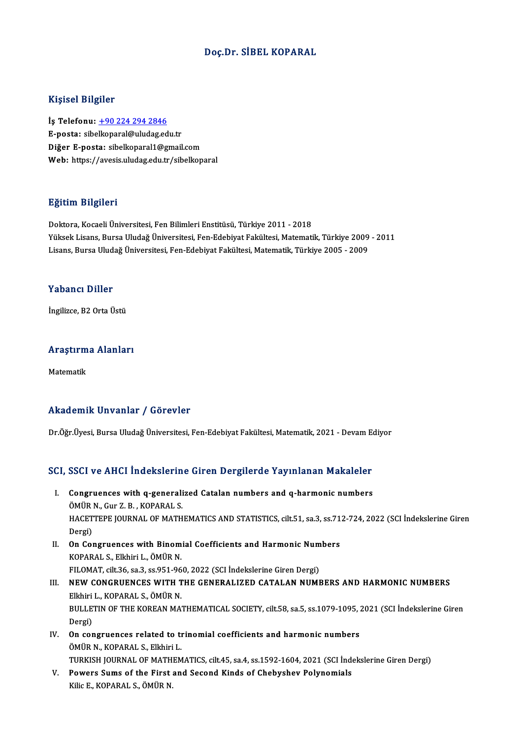#### Doç.Dr. SİBEL KOPARAL

#### Kişisel Bilgiler

İş Telefonu: +90 224 294 2846 E-posta: sibe[lkoparal@uludag.ed](tel:+90 224 294 2846)u.tr Diğer E-posta: sibelkoparal1@gmail.com Web: https://avesis.uludag.edu.tr/sibelkoparal

#### Eğitim Bilgileri

Doktora, Kocaeli Üniversitesi, Fen Bilimleri Enstitüsü, Türkiye 2011 - 2018 23.<br>1998- Doktora, Kocaeli Üniversitesi, Fen Bilimleri Enstitüsü, Türkiye 2011 - 2018<br>Yüksek Lisans, Bursa Uludağ Üniversitesi, Fen-Edebiyat Fakültesi, Matematik, Türkiye 2009 - 2011<br>Lisans, Bursa Uludağ Üniversitesi, Fen-Doktora, Kocaeli Üniversitesi, Fen Bilimleri Enstitüsü, Türkiye 2011 - 2018<br>Yüksek Lisans, Bursa Uludağ Üniversitesi, Fen-Edebiyat Fakültesi, Matematik, Türkiye 2009<br>Lisans, Bursa Uludağ Üniversitesi, Fen-Edebiyat Fakültes Lisans, Bursa Uludağ Üniversitesi, Fen-Edebiyat Fakültesi, Matematik, Türkiye 2005 - 2009<br>Yabancı Diller

İngilizce, B2 Orta Üstü

# ingilizce, B2 orta ostu<br>Araştırma Alanları <mark>Araştırm</mark><br>Matematik

# Akademik Unvanlar / Görevler

Dr.Öğr.Üyesi, Bursa Uludağ Üniversitesi, Fen-Edebiyat Fakültesi, Matematik, 2021 - Devam Ediyor

# Dr.ogr.oyesi, Bursa oludag oniversitesi, ren-Bdebiyat Fakultesi, Matematik, 2021 - Devam Be<br>SCI, SSCI ve AHCI İndekslerine Giren Dergilerde Yayınlanan Makaleler

- CI, SSCI ve AHCI İndekslerine Giren Dergilerde Yayınlanan Makaleler<br>I. Congruences with q-generalized Catalan numbers and q-harmonic numbers<br>ÖMÜP N. Cur Z. B. KORARAL S. I. Congruences with q-generalized Catalan numbers and q-harmonic numbers ÖMÜR N., Gur Z. B., KOPARAL S. Congruences with q-generalized Catalan numbers and q-harmonic numbers<br>ÖMÜR N., Gur Z. B. , KOPARAL S.<br>HACETTEPE JOURNAL OF MATHEMATICS AND STATISTICS, cilt.51, sa.3, ss.712-724, 2022 (SCI İndekslerine Giren<br>Dergi) ÖMÜR<br>HACET<br>Dergi)<br>On Cer HACETTEPE JOURNAL OF MATHEMATICS AND STATISTICS, cilt.51, sa.3, ss.71<br>Dergi)<br>II. On Congruences with Binomial Coefficients and Harmonic Numbers<br>KORARAL S. Elkhiri L. ÖMÜP N
- Dergi)<br>II. On Congruences with Binomial Coefficients and Harmonic Numbers<br>KOPARAL S., Elkhiri L., ÖMÜR N. On Congruences with Binomial Coefficients and Harmonic Num<br>KOPARAL S., Elkhiri L., ÖMÜR N.<br>FILOMAT, cilt.36, sa.3, ss.951-960, 2022 (SCI İndekslerine Giren Dergi)<br>NEW CONCRUENCES WITH THE CENERALIZED CATALAN NUMI
- III. NEW CONGRUENCES WITH THE GENERALIZED CATALAN NUMBERS AND HARMONIC NUMBERS Elkhiri L., KOPARAL S., ÖMÜR N. FILOMAT, cilt.36, sa.3, ss.951-96<br>NEW CONGRUENCES WITH T<br>Elkhiri L., KOPARAL S., ÖMÜR N.<br>PIILLETIN OF THE KOPEAN MA. NEW CONGRUENCES WITH THE GENERALIZED CATALAN NUMBERS AND HARMONIC NUMBERS<br>Elkhiri L., KOPARAL S., ÖMÜR N.<br>BULLETIN OF THE KOREAN MATHEMATICAL SOCIETY, cilt.58, sa.5, ss.1079-1095, 2021 (SCI İndekslerine Giren<br>Persi) Elkhiri<br>BULLE<br>Dergi)<br>On ser BULLETIN OF THE KOREAN MATHEMATICAL SOCIETY, cilt.58, sa.5, ss.1079-1095, :<br>Dergi)<br>IV. On congruences related to trinomial coefficients and harmonic numbers<br>ÖMÜP N. KORARAL S. Elkhiri I.
- Dergi)<br>IV. On congruences related to trinomial coefficients and harmonic numbers<br>ÖMÜR N., KOPARAL S., Elkhiri L. TURKISH JOURNAL OF MATHEMATICS, cilt.45, sa.4, ss.1592-1604, 2021 (SCI İndekslerine Giren Dergi)
- V. Powers Sums of the First and Second Kinds of Chebyshev Polynomials KilicE.,KOPARAL S.,ÖMÜRN.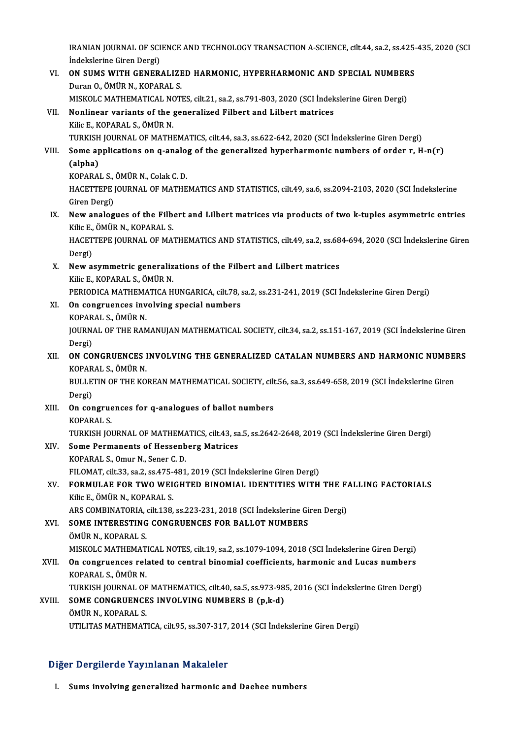IRANIAN JOURNAL OF SCIENCE AND TECHNOLOGY TRANSACTION A-SCIENCE, cilt.44, sa.2, ss.425-435, 2020 (SCI<br>Indekalarine Circo Dergi) IRANIAN JOURNAL OF SCI<br>İndekslerine Giren Dergi)<br>ON SIIMS WITH CENER IRANIAN JOURNAL OF SCIENCE AND TECHNOLOGY TRANSACTION A-SCIENCE, cilt.44, sa.2, ss.425-<br>Indekslerine Giren Dergi)<br>VI. ON SUMS WITH GENERALIZED HARMONIC, HYPERHARMONIC AND SPECIAL NUMBERS<br>Duran O. ÖMÜR N. KORARALIS

- İndekslerine Giren Dergi)<br>**ON SUMS WITH GENERALIZI**<br>Duran O., ÖMÜR N., KOPARAL S.<br>MISKOLG MATUEMATICAL NOT ON SUMS WITH GENERALIZED HARMONIC, HYPERHARMONIC AND SPECIAL NUMBER<br>Duran O., ÖMÜR N., KOPARAL S.<br>MISKOLC MATHEMATICAL NOTES, cilt.21, sa.2, ss.791-803, 2020 (SCI İndekslerine Giren Dergi)<br>Naplinear variants of the seneral MISKOLC MATHEMATICAL NOTES, cilt.21, sa.2, ss.791-803, 2020 (SCI Indekslerine Giren Dergi)
- Duran O., ÖMÜR N., KOPARAL S.<br>MISKOLC MATHEMATICAL NOTES, cilt.21, sa.2, ss.791-803, 2020 (SCI Indel<br>VII. Nonlinear variants of the generalized Filbert and Lilbert matrices<br>Kilic E., KOPARAL S., ÖMÜR N. TURKISH JOURNAL OF MATHEMATICS, cilt.44, sa.3, ss.622-642, 2020 (SCI İndekslerine Giren Dergi)

## Kilic E., KOPARAL S., ÖMÜR N.<br>TURKISH JOURNAL OF MATHEMATICS, cilt44, sa.3, ss.622-642, 2020 (SCI İndekslerine Giren Dergi)<br>VIII. Some applications on q-analog of the generalized hyperharmonic numbers of order r, H-n(r) TURKISH<br>Some ap<br>(alpha)<br>KORARAI Some applications on q-analo<sub>;</sub><br>(alpha)<br>KOPARAL S., ÖMÜR N., Colak C. D.<br>HACETTEPE IOUPNAL OF MATUE

KOPARAL S., ÖMÜR N., Colak C. D.

(alpha)<br>KOPARAL S., ÖMÜR N., Colak C. D.<br>HACETTEPE JOURNAL OF MATHEMATICS AND STATISTICS, cilt.49, sa.6, ss.2094-2103, 2020 (SCI İndekslerine<br>Giren Dergi) HACETTEPE JOURNAL OF MATHEMATICS AND STATISTICS, cilt.49, sa.6, ss.2094-2103, 2020 (SCI Indekslerine<br>Giren Dergi)<br>IX. New analogues of the Filbert and Lilbert matrices via products of two k-tuples asymmetric entries<br>Vilia

Giren Dergi)<br>New analogues of the Filb<br>Kilic E., ÖMÜR N., KOPARAL S.<br>HACETTERE JOURNAL OF MA. New analogues of the Filbert and Lilbert matrices via products of two k-tuples asymmetric entries<br>Kilic E., ÖMÜR N., KOPARAL S.<br>HACETTEPE JOURNAL OF MATHEMATICS AND STATISTICS, cilt.49, sa.2, ss.684-694, 2020 (SCI İndeksle

Kilic E.,<br>HACET<br>Dergi)<br>Now 2 HACETTEPE JOURNAL OF MATHEMATICS AND STATISTICS, cilt.49, sa.2, ss.68<br>Dergi)<br>X. New asymmetric generalizations of the Filbert and Lilbert matrices<br>E Rije E ROBARALS ÖMÜRN

- Dergi)<br>X. New asymmetric generalizations of the Filbert and Lilbert matrices<br>Kilic E., KOPARAL S., ÖMÜR N. New asymmetric generalizations of the Filbert and Lilbert matrices<br>Kilic E., KOPARAL S., ÖMÜR N.<br>PERIODICA MATHEMATICA HUNGARICA, cilt.78, sa.2, ss.231-241, 2019 (SCI İndekslerine Giren Dergi)<br>On sensuyanese involvins anos Kilic E., KOPARAL S., ÖMÜR N.<br>PERIODICA MATHEMATICA HUNGARICA, cilt.78, s<br>XI. On congruences involving special numbers<br>KORARAL S. ÖMÜR N
- PERIODICA MATHEMA<br>**On congruences inv<br>KOPARAL S., ÖMÜR N.**<br>JOUPNAL OF THE PAN On congruences involving special numbers<br>KOPARAL S., ÖMÜR N.<br>JOURNAL OF THE RAMANUJAN MATHEMATICAL SOCIETY, cilt.34, sa.2, ss.151-167, 2019 (SCI İndekslerine Giren<br>Persi) KOPAR<br>JOURN<br>Dergi)<br>ON CO JOURNAL OF THE RAMANUJAN MATHEMATICAL SOCIETY, cilt.34, sa.2, ss.151-167, 2019 (SCI İndekslerine Giren<br>Dergi)<br>XII. ON CONGRUENCES INVOLVING THE GENERALIZED CATALAN NUMBERS AND HARMONIC NUMBERS<br>KORARAL S. ÖMÜR N
- Dergi)<br>**ON CONGRUENCES I**<br>KOPARAL S., ÖMÜR N.<br>PIII I ETIN OE THE KO ON CONGRUENCES INVOLVING THE GENERALIZED CATALAN NUMBERS AND HARMONIC NUMBE<br>KOPARAL S., ÖMÜR N.<br>BULLETIN OF THE KOREAN MATHEMATICAL SOCIETY, cilt.56, sa.3, ss.649-658, 2019 (SCI İndekslerine Giren<br>Persi)

KOPARAL S., ÖMÜR N.<br>BULLETIN OF THE KOREAN MATHEMATICAL SOCIETY, cilt.56, sa.3, ss.649-658, 2019 (SCI İndekslerine Giren<br>Dergi) BULLETIN OF THE KOREAN MATHEMATICAL SOCIETY, cilt<br>Dergi)<br>XIII. On congruences for q-analogues of ballot numbers<br>KORARAL S

Dergi)<br><mark>On congrue</mark><br>KOPARAL S.<br>TURKISH IOI KOPARAL S.<br>TURKISH JOURNAL OF MATHEMATICS, cilt.43, sa.5, ss.2642-2648, 2019 (SCI İndekslerine Giren Dergi) KOPARAL S.<br>TURKISH JOURNAL OF MATHEMATICS, cilt.43, sa<br>XIV. Some Permanents of Hessenberg Matrices

## TURKISH JOURNAL OF MATHEMA<br>Some Permanents of Hessenb<br>KOPARAL S., Omur N., Sener C. D.<br>FU OMAT silt 22, se 2, se 475, 491 KOPARAL S., Omur N., Sener C. D.<br>FILOMAT, cilt.33, sa.2, ss.475-481, 2019 (SCI İndekslerine Giren Dergi)

## KOPARAL S., Omur N., Sener C. D.<br>FILOMAT, cilt.33, sa.2, ss.475-481, 2019 (SCI İndekslerine Giren Dergi)<br>XV. FORMULAE FOR TWO WEIGHTED BINOMIAL IDENTITIES WITH THE FALLING FACTORIALS<br>Kilia E. ÖMÜR N. KORARAL S FILOMAT, cilt.33, sa.2, ss.475–<br>FORMULAE FOR TWO WEI<br>Kilic E., ÖMÜR N., KOPARAL S.<br>ARS COMPINATORIA silt.138 FORMULAE FOR TWO WEIGHTED BINOMIAL IDENTITIES WITH THE F.<br>Kilic E., ÖMÜR N., KOPARAL S.<br>ARS COMBINATORIA, cilt.138, ss.223-231, 2018 (SCI İndekslerine Giren Dergi)<br>SOME INTERESTING CONCRIJENCES EOR RALLOT NUMRERS

Kilic E., ÖMÜR N., KOPARAL S.<br>ARS COMBINATORIA, cilt.138, ss.223-231, 2018 (SCI İndekslerine Gi<br>XVI. SOME INTERESTING CONGRUENCES FOR BALLOT NUMBERS<br>ÖMÜR N. KORARAL S ARS COMBINATORIA,<br>S<mark>OME INTERESTING</mark><br>ÖMÜR N., KOPARAL S.<br>MISKOL C MATHEMAT

ÖMÜR N., KOPARAL S.<br>MISKOLC MATHEMATICAL NOTES, cilt.19, sa.2, ss.1079-1094, 2018 (SCI İndekslerine Giren Dergi)

ÖMÜR N., KOPARAL S.<br>MISKOLC MATHEMATICAL NOTES, cilt.19, sa.2, ss.1079-1094, 2018 (SCI İndekslerine Giren Dergi)<br>XVII. On congruences related to central binomial coefficients, harmonic and Lucas numbers<br>KORARAL S. ÖMÜR MISKOLC MATHEMAT<br>On congruences rel:<br>KOPARAL S., ÖMÜR N.<br>TURKISH JOURNAL OF On congruences related to central binomial coefficients, harmonic and Lucas numbers<br>KOPARAL S., ÖMÜR N.<br>TURKISH JOURNAL OF MATHEMATICS, cilt.40, sa.5, ss.973-985, 2016 (SCI İndekslerine Giren Dergi)<br>SOME CONCRUENCES INVOLV

TURKISH JOURNAL OF MATHEMATICS, cilt.40, sa.5, ss.973-985, 2016 (SCI İndekslerine Giren Dergi)

KOPARAL S., ÖMÜR N.<br>TURKISH JOURNAL OF MATHEMATICS, cilt.40, sa.5, ss.973-98<br>XVIII. SOME CONGRUENCES INVOLVING NUMBERS B (p,k-d)<br>ÖMÜR N., KOPARAL S. UTILITAS MATHEMATICA, cilt.95, ss.307-317, 2014 (SCI İndekslerine Giren Dergi)

#### Diğer Dergilerde Yayınlanan Makaleler

I. Sums involving generalized harmonic and Daehee numbers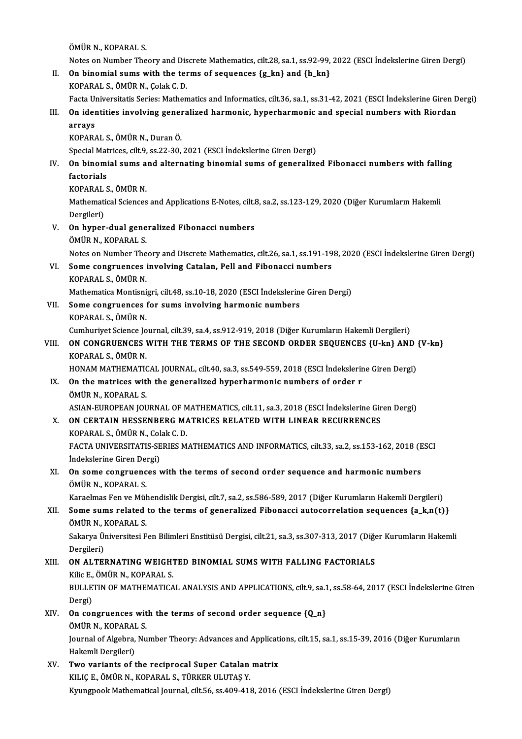ÖMÜRN.,KOPARAL S.

Notes on Number Theory and Discrete Mathematics, cilt.28, sa.1, ss.92-99, 2022 (ESCI Indekslerine Giren Dergi)

OMUR N., KOPARAL S.<br>Notes on Number Theory and Discrete Mathematics, cilt.28, sa.1, ss.92-99,<br>II. On binomial sums with the terms of sequences {g\_kn} and {h\_kn}<br>KORARAL S. ÖMUR N. Colak C. D. Notes on Number Theory and Dis<br>On binomial sums with the ter<br>KOPARAL S., ÖMÜR N., Çolak C. D.<br>Festa Universitatis Series: Mathen

On binomial sums with the terms of sequences {g\_kn} and {h\_kn}<br>KOPARAL S., ÖMÜR N., Çolak C. D.<br>Facta Universitatis Series: Mathematics and Informatics, cilt.36, sa.1, ss.31-42, 2021 (ESCI İndekslerine Giren Dergi)<br>On iden

# KOPARAL S., ÖMÜR N., Çolak C. D.<br>Facta Universitatis Series: Mathematics and Informatics, cilt.36, sa.1, ss.31-42, 2021 (ESCI İndekslerine Giren<br>III. On identities involving generalized harmonic, hyperharmonic and special Facta U<sub>l</sub><br>On ider<br>arrays<br><sub>KODAD</sub>

On identities involving gener<br>arrays<br>KOPARAL S., ÖMÜR N., Duran Ö.<br>Special Matrices, cilt 9, ss 22, 20. arrays<br>KOPARAL S., ÖMÜR N., Duran Ö.<br>Special Matrices, cilt.9, ss.22-30, 2021 (ESCI İndekslerine Giren Dergi)

## KOPARAL S., ÖMÜR N., Duran Ö.<br>Special Matrices, cilt.9, ss.22-30, 2021 (ESCI İndekslerine Giren Dergi)<br>IV. On binomial sums and alternating binomial sums of generalized Fibonacci numbers with falling<br>factorials Special Mat<br>**On binomi<br>factorials**<br>KORARALS On binomial sums a<br>factorials<br>KOPARAL S., ÖMÜR N.<br>Mathamatical Sciances

factorials<br>KOPARAL S., ÖMÜR N.<br>Mathematical Sciences and Applications E-Notes, cilt.8, sa.2, ss.123-129, 2020 (Diğer Kurumların Hakemli KOPARAL<br>Mathemati<br>Dergileri)<br>On bunar Mathematical Sciences and Applications E-Notes, cilt.<br>Dergileri)<br>V. On hyper-dual generalized Fibonacci numbers<br>ÖMÜR N. KORARAL S.

- Dergileri)<br><mark>On hyper-dual gene</mark><br>ÖMÜR N., KOPARAL S.<br>Nates en Number The ÖMÜR N., KOPARAL S.<br>Notes on Number Theory and Discrete Mathematics, cilt.26, sa.1, ss.191-198, 2020 (ESCI İndekslerine Giren Dergi) ÖMÜR N., KOPARAL S.<br>Notes on Number Theory and Discrete Mathematics, cilt.26, sa.1, ss.191-19<br>VI. Some congruences involving Catalan, Pell and Fibonacci numbers<br>KORARALS, ÖMÜR N
- Notes on Number The<br>**Some congruences**<br>KOPARAL S., ÖMÜR N.<br>Mathematice Mentioni Some congruences involving Catalan, Pell and Fibonacci numbers<br>KOPARAL S., ÖMÜR N.<br>Mathematica Montisnigri, cilt.48, ss.10-18, 2020 (ESCI İndekslerine Giren Dergi)<br>Seme gengyuanges for sums involving bermanis numbers.

KOPARAL S., ÖMÜR N.<br>Mathematica Montisnigri, cilt.48, ss.10-18, 2020 (ESCI İndekslerin<br>VII. Some congruences for sums involving harmonic numbers<br>KOPARAL S., ÖMÜR N. Mathematica Montisni<br>Some congruences<br>KOPARAL S., ÖMÜR N.<br>Cumburiyat Science Io Some congruences for sums involving harmonic numbers<br>KOPARAL S., ÖMÜR N.<br>Cumhuriyet Science Journal, cilt.39, sa.4, ss.912-919, 2018 (Diğer Kurumların Hakemli Dergileri)<br>ON CONCRIJENCES WITH THE TERMS OF THE SECOND ORDER S

## KOPARAL S., ÖMÜR N.<br>Cumhuriyet Science Journal, cilt.39, sa.4, ss.912-919, 2018 (Diğer Kurumların Hakemli Dergileri)<br>VIII. ON CONGRUENCES WITH THE TERMS OF THE SECOND ORDER SEQUENCES {U-kn} AND {V-kn}<br>KORARAL S. ÖMÜR N Cumhuriyet Science Jo<br>**ON CONGRUENCES**<br>KOPARAL S., ÖMÜR N.<br>HONAM MATUEMATIC ON CONGRUENCES WITH THE TERMS OF THE SECOND ORDER SEQUENCES {U-kn} AND<br>KOPARAL S., ÖMÜR N.<br>HONAM MATHEMATICAL JOURNAL, cilt.40, sa.3, ss.549-559, 2018 (ESCI İndekslerine Giren Dergi)<br>On the matrices with the seneralized by

KOPARAL S., ÖMÜR N.<br>HONAM MATHEMATICAL JOURNAL, cilt.40, sa.3, ss.549-559, 2018 (ESCI İndekslerir<br>IX. On the matrices with the generalized hyperharmonic numbers of order r<br>ÖMÜR N. KORARAL S.

## HONAM MATHEMATIC<br>On the matrices with the matrices<br>ÖMÜR N., KOPARAL S.<br>ASIAN EUROPEAN JOL On the matrices with the generalized hyperharmonic numbers of order r<br>ÖMÜR N., KOPARAL S.<br>ASIAN-EUROPEAN JOURNAL OF MATHEMATICS, cilt.11, sa.3, 2018 (ESCI İndekslerine Giren Dergi)<br>ON CERTAIN HESSENBERC MATRICES RELATED WI ÖMÜR N., KOPARAL S.<br>ASIAN-EUROPEAN JOURNAL OF MATHEMATICS, cilt.11, sa.3, 2018 (ESCI İndekslerine Gir<br>X. ON CERTAIN HESSENBERG MATRICES RELATED WITH LINEAR RECURRENCES<br>KORARAL S. ÖMÜR N. Colok C. D.

ASIAN-EUROPEAN JOURNAL OF M<br>**ON CERTAIN HESSENBERG MA<br>KOPARAL S., ÖMÜR N., Colak C. D.**<br>FACTA UNIVERSITATIS SEDIES M ON CERTAIN HESSENBERG MATRICES RELATED WITH LINEAR RECURRENCES<br>KOPARAL S., ÖMÜR N., Colak C. D.<br>FACTA UNIVERSITATIS-SERIES MATHEMATICS AND INFORMATICS, cilt.33, sa.2, ss.153-162, 2018 (ESCI<br>Indekalarine Ciren Dergi) KOPARAL S., ÖMÜR N., Col<br>FACTA UNIVERSITATIS-SE<br>İndekslerine Giren Dergi)<br>On sama sanguyansas ı FACTA UNIVERSITATIS-SERIES MATHEMATICS AND INFORMATICS, cilt.33, sa.2, ss.153-162, 2018 (E<br>Indekslerine Giren Dergi)<br>XI. On some congruences with the terms of second order sequence and harmonic numbers<br>ÖMÜP N. KORARAL S

Indekslerine Giren Dergi)<br>XI. On some congruences with the terms of second order sequence and harmonic numbers<br>ÖMÜR N., KOPARAL S. On some congruences with the terms of second order sequence and harmonic numbers<br>ÖMÜR N., KOPARAL S.<br>Karaelmas Fen ve Mühendislik Dergisi, cilt.7, sa.2, ss.586-589, 2017 (Diğer Kurumların Hakemli Dergileri)<br>Seme suma pelat

#### XII. Some sums related to the terms of generalized Fibonacci autocorrelation sequences  ${a_k, n(t)}$ Karaelmas Fen ve Mül<br>**Some sums related**<br>ÖMÜR N., KOPARAL S.<br>Sekerve Üniversitesi E ÖMÜR N., KOPARAL S.

Sakarya Üniversitesi Fen Bilimleri Enstitüsü Dergisi, cilt.21, sa.3, ss.307-313, 2017 (Diğer Kurumların Hakemli<br>Dergileri) Sakarya Üniversitesi Fen Bilimleri Enstitüsü Dergisi, cilt.21, sa.3, ss.307-313, 2017 (Diğe<br>Dergileri)<br>XIII. ON ALTERNATING WEIGHTED BINOMIAL SUMS WITH FALLING FACTORIALS<br>Kilig E. ÖMÜP N. KORARAL S

# Dergileri)<br>**ON ALTERNATING WEIGH'**<br>Kilic E., ÖMÜR N., KOPARAL S.<br>PULL ETIN OF MATHEMATICA ON ALTERNATING WEIGHTED BINOMIAL SUMS WITH FALLING FACTORIALS<br>Kilic E., ÖMÜR N., KOPARAL S.<br>BULLETIN OF MATHEMATICAL ANALYSIS AND APPLICATIONS, cilt.9, sa.1, ss.58-64, 2017 (ESCI İndekslerine Giren<br>Dergi)

Kilic E.,<br>BULLE<br>Dergi)<br>On ser BULLETIN OF MATHEMATICAL ANALYSIS AND APPLICATIONS, cilt.9, sa.1<br>Dergi)<br>XIV. On congruences with the terms of second order sequence {Q\_n}<br>
OMUP N\_KORARAL S

Dergi)<br>**On congruences wit**<br>ÖMÜR N., KOPARAL S.<br>Journal of Alsohne Nu

On congruences with the terms of second order sequence {Q\_n}<br>ÖMÜR N., KOPARAL S.<br>Journal of Algebra, Number Theory: Advances and Applications, cilt.15, sa.1, ss.15-39, 2016 (Diğer Kurumların<br>Hakamli Dargilari) ÖMÜR N., KOPARAI<br>Journal of Algebra,<br>Hakemli Dergileri)<br>Turo vonionte of t XV. Two variants of the reciprocal Super Catalanmatrix

KILIÇE, ÖMÜRN, KOPARAL S., TÜRKER ULUTAŞY. Kyungpook Mathematical Journal, cilt.56, ss.409-418, 2016 (ESCI İndekslerine Giren Dergi)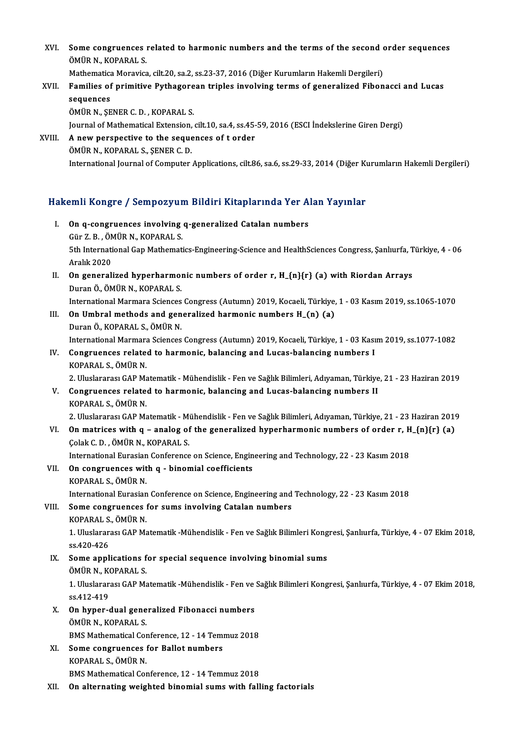XVI. Some congruences related to harmonic numbers and the terms of the second order sequences<br>ÖMÜR N. KORARALS Some congruences<br>ÖMÜR N., KOPARAL S.<br>Mathematice Menevice Some congruences related to harmonic numbers and the terms of the second on<br>Mathematica Moravica, cilt.20, sa.2, ss.23-37, 2016 (Diğer Kurumların Hakemli Dergileri)<br>Familias of numitive Bythegenean triples involving terms

### ÖMÜR N., KOPARAL S.<br>Mathematica Moravica, cilt.20, sa.2, ss.23-37, 2016 (Diğer Kurumların Hakemli Dergileri)<br>XVII. Families of primitive Pythagorean triples involving terms of generalized Fibonacci and Lucas Mathematica<br>Families of<br>sequences<br>ÖMÜP N SE Families of primitive Pythagore<br>sequences<br>ÖMÜR N., ŞENER C. D. , KOPARAL S.<br>Journal of Mathomatical Extonsion sequences<br>ÖMÜR N., ŞENER C. D. , KOPARAL S.<br>Journal of Mathematical Extension, cilt.10, sa.4, ss.45-59, 2016 (ESCI İndekslerine Giren Dergi)<br>A. now perspective ta the sequences of t order

ÖMÜR N., ŞENER C. D. , KOPARAL S.<br>Journal of Mathematical Extension, cilt.10, sa.4, ss.45-<br>XVIII. A new perspective to the sequences of t order<br>ÖMÜR N., KOPARAL S., SENER C. D. Journal of Mathematical Extension,<br>A new perspective to the seque<br>ÖMÜR N., KOPARAL S., ŞENER C. D.<br>International Journal of Computer International Journal of Computer Applications, cilt.86, sa.6, ss.29-33, 2014 (Diğer Kurumların Hakemli Dergileri)

# mernauonal journal ol computer Applications, clt.86, sa.6, ss.29-33, 2014 (Diger Ki<br>Hakemli Kongre / Sempozyum Bildiri Kitaplarında Yer Alan Yayınlar

- akemli Kongre / Sempozyum Bildiri Kitaplarında Yer A<br>I. On q-congruences involving q-generalized Catalan numbers<br>CünZ B. ÖMÜB N. KORARALS I. On q-congruences involving q-generalized Catalan numbers<br>Gür Z.B., ÖMÜR N., KOPARAL S. 0n q-congruences involving q-generalized Catalan numbers<br>Gür Z. B. , ÖMÜR N., KOPARAL S.<br>5th International Gap Mathematics-Engineering-Science and HealthSciences Congress, Şanlıurfa, Türkiye, 4 - 06<br>Aralık 2020 Gür Z. B. , ÖN<br>5th Internati<br>Aralık 2020<br>On generalı 5th International Gap Mathematics-Engineering-Science and HealthSciences Congress, Şanlıurfa, T<br>Aralık 2020<br>II. On generalized hyperharmonic numbers of order r, H\_{n}{r} (a) with Riordan Arrays<br>Duran Ö, ÖMÜP N, KORARAL S Aralık 2020<br>**On generalized hyperharmo**ı<br>Duran Ö., ÖMÜR N., KOPARAL S.<br>International Mermare Sciences
- On generalized hyperharmonic numbers of order r, H\_{n}{r} (a) with Riordan Arrays<br>Duran Ö., ÖMÜR N., KOPARAL S.<br>International Marmara Sciences Congress (Autumn) 2019, Kocaeli, Türkiye, 1 03 Kasım 2019, ss.1065-1070<br>On Um

- Duran Ö., ÖMÜR N., KOPARAL S.<br>International Marmara Sciences Congress (Autumn) 2019, Kocaeli, Türkiye,<br>III. On Umbral methods and generalized harmonic numbers H\_(n) (a)<br>Duran Ö. KORARAL S. ÖMÜR N International Marmara Sciences<br>**On Umbral methods and gen<br>Duran Ö., KOPARAL S., ÖMÜR N.**<br>International Marmara Sciences On Umbral methods and generalized harmonic numbers H\_(n) (a)<br>Duran Ö., KOPARAL S., ÖMÜR N.<br>International Marmara Sciences Congress (Autumn) 2019, Kocaeli, Türkiye, 1 - 03 Kasım 2019, ss.1077-1082<br>Congruences related to bar Duran Ö., KOPARAL S., ÖMÜR N.<br>International Marmara Sciences Congress (Autumn) 2019, Kocaeli, Türkiye, 1 - 03 Kası<br>IV. Congruences related to harmonic, balancing and Lucas-balancing numbers I<br>KORARAL S. ÖMÜR N
- International Marmara<br>**Congruences relate**<br>KOPARAL S., ÖMÜR N.<br>2. Uluslarerası CAP Me Congruences related to harmonic, balancing and Lucas-balancing numbers I<br>KOPARAL S., ÖMÜR N.<br>2. Uluslararası GAP Matematik - Mühendislik - Fen ve Sağlık Bilimleri, Adıyaman, Türkiye, 21 - 23 Haziran 2019<br>Congruences relate
- KOPARAL S., ÖMÜR N.<br>2. Uluslararası GAP Matematik Mühendislik Fen ve Sağlık Bilimleri, Adıyaman, Türkiye<br>2. Congruences related to harmonic, balancing and Lucas-balancing numbers II<br>2004-bal S. ÖMÜR N 2. Uluslararası GAP Ma<br>**Congruences relate**<br>KOPARAL S., ÖMÜR N.<br>2. Uluslararası CAP Me 2. Congruences related to harmonic, balancing and Lucas-balancing numbers II<br>KOPARAL S., ÖMÜR N.<br>2. Uluslararası GAP Matematik - Mühendislik - Fen ve Sağlık Bilimleri, Adıyaman, Türkiye, 21 - 23 Haziran 2019 KOPARAL S., ÖMÜR N.<br>2. Uluslararası GAP Matematik - Mühendislik - Fen ve Sağlık Bilimleri, Adıyaman, Türkiye, 21 - 23 Haziran 201<br>1. On matrices with q – analog of the generalized hyperharmonic numbers of order r, H\_{n}{r}
- 2. Uluslararası GAP Matematik Mi<br>On matrices with q analog of<br>Colak C. D. , ÖMÜR N., KOPARAL S. On matrices with q – analog of the generalized hyperharmonic numbers of order r, H<br>Colak C. D. , ÖMÜR N., KOPARAL S.<br>International Eurasian Conference on Science, Engineering and Technology, 22 - 23 Kasım 2018<br>On sensuyens

Colak C. D., ÖMÜR N., KOPARAL S.<br>International Eurasian Conference on Science, Engin<br>VII. On congruences with q - binomial coefficients<br>COPARAL S. ÖMÜR N. International Eurasian<br>**On congruences wit<br>KOPARAL S., ÖMÜR N.**<br>International Eurasian On congruences with q - binomial coefficients<br>KOPARAL S., ÖMÜR N.<br>International Eurasian Conference on Science, Engineering and Technology, 22 - 23 Kasım 2018<br>Some congruences for sums involving Catalan numbers KOPARAL S., ÖMÜR N.<br>International Eurasian Conference on Science, Engineering and<br>VIII. Some congruences for sums involving Catalan numbers<br>KOPARAL S., ÖMÜR N.

# International Eurasian<br>Some congruences<br>KOPARAL S., ÖMÜR N.<br>1. Hluslarares: CAP Me

Some congruences for sums involving Catalan numbers<br>KOPARAL S., ÖMÜR N.<br>1. Uluslararası GAP Matematik -Mühendislik - Fen ve Sağlık Bilimleri Kongresi, Şanlıurfa, Türkiye, 4 - 07 Ekim 2018, KOPARAL S.<br>1. Uluslarar<br>ss.420-426<br>Some annl 1. Uluslararası GAP Matematik -Mühendislik - Fen ve Sağlık Bilimleri Kong<br>ss.420-426<br>IX. Some applications for special sequence involving binomial sums<br>ÖMÜP N. KORARAL S

#### ss.420-426<br>IX. Some applications for special sequence involving binomial sums ÖMÜR N., KOPARAL S.

1. Uluslararası GAP Matematik -Mühendislik - Fen ve Sağlık Bilimleri Kongresi, Şanlıurfa, Türkiye, 4 - 07 Ekim 2018,<br>ss.412-419 1. Uluslararası GAP Matematik -Mühendislik - Fen ve<br>ss.412-419<br>X. On hyper-dual generalized Fibonacci numbers<br>ÖMÜD N. KORARAL S.

- ss.412-419<br>**On hyper-dual gene<br>ÖMÜR N., KOPARAL S.<br>PMS Mathematical Co**r On hyper-dual generalized Fibonacci numbers<br>ÖMÜR N., KOPARAL S.<br>BMS Mathematical Conference, 12 - 14 Temmuz 2018<br>Seme conguyanges for Ballet numbors ÖMÜR N., KOPARAL S.<br>BMS Mathematical Conference, 12 - 14 Tem<br>XI. Some congruences for Ballot numbers<br>KORARAL S. ÖMÜR N
- **BMS Mathematical Corne congruences<br>Some congruences**<br>KOPARAL S., ÖMÜR N.<br>PMS Mathematical Cor KOPARAL S., ÖMÜR N.<br>BMS Mathematical Conference, 12 - 14 Temmuz 2018
- XII. On alternating weighted binomial sums with falling factorials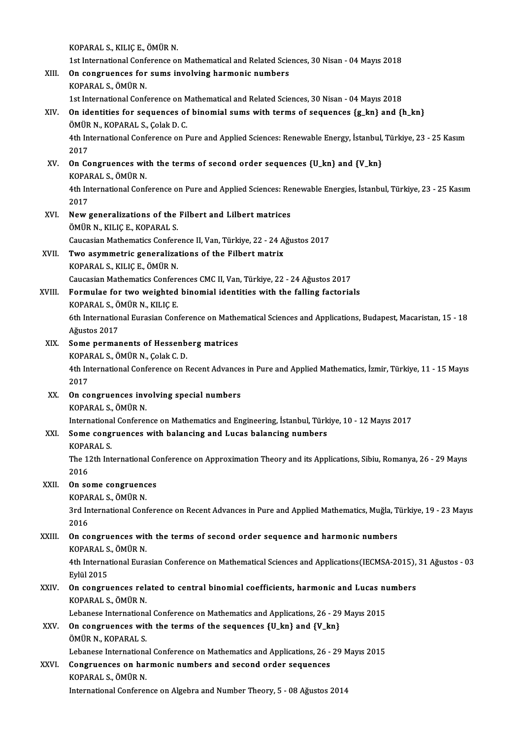KOPARAL S.,KILIÇE.,ÖMÜRN.

- 1st International Conference on Mathematical and Related Sciences, 30 Nisan 04 Mayıs 2018 KOPARAL S., KILIÇ E., ÖMÜR N.<br>1st International Conference on Mathematical and Related Scie<br>XIII. On congruences for sums involving harmonic numbers<br>KOPARAL S. ÖMÜR N. 1st International Conformed States for SCPARAL S., ÖMÜR N. KOPARAL S., ÖMÜR N.<br>1st International Conference on Mathematical and Related Sciences, 30 Nisan - 04 Mayıs 2018 XIV. On identities for sequences of binomial sums with terms of sequences  ${g_k}$ kn} and  ${h_k}$ 1st International Conference on M<br>**On identities for sequences of**<br>ÖMÜR N., KOPARAL S., Çolak D. C.<br>4th International Conference on E 4th International Conference on Pure and Applied Sciences: Renewable Energy, İstanbul, Türkiye, 23 - 25 Kasım<br>2017 ÖMÜR<br>4th In<br>2017<br>Or Ca 4th International Conference on Pure and Applied Sciences: Renewable Energy, İstanbul,<br>2017<br>XV. On Congruences with the terms of second order sequences {U\_kn} and {V\_kn}<br>2004 RALLS ÖMÜR N 2017<br>**On Congruences wit**<br>KOPARAL S., ÖMÜR N.<br>4th International Conf 4th International Conference on Pure and Applied Sciences: Renewable Energies, İstanbul, Türkiye, 23 - 25 Kasım<br>2017 KOPARAL S., ÖMÜR N 4th International Conference on Pure and Applied Sciences: Re<br>2017<br>XVI. New generalizations of the Filbert and Lilbert matrices<br> $\ddot{\Omega}$ MÜD N. KU IC E. KORARAL S 2017<br>New generalizations of the<br>ÖMÜR N., KILIÇ E., KOPARAL S.<br>Causasian Mathematics Confort New generalizations of the Filbert and Lilbert matrices<br>ÖMÜR N., KILIÇ E., KOPARAL S.<br>Caucasian Mathematics Conference II, Van, Türkiye, 22 - 24 Ağustos 2017<br>Two asymmetris generalizations of the Filbert matrix. ÖMÜR N., KILIÇ E., KOPARAL S.<br>Caucasian Mathematics Conference II, Van, Türkiye, 22 - 24 A<br>XVII. Two asymmetric generalizations of the Filbert matrix<br>KOPARAL S., KILIC E., ÖMÜR N. Caucasian Mathematics Confere<br>Two asymmetric generaliza<br>KOPARAL S., KILIÇ E., ÖMÜR N.<br>Causasian Mathematics Confere Caucasian Mathematics Conferences CMC II, Van, Türkiye, 22 - 24 Ağustos 2017 KOPARAL S., KILIÇ E., ÖMÜR N.<br>Caucasian Mathematics Conferences CMC II, Van, Türkiye, 22 - 24 Ağustos 2017<br>XVIII. Formulae for two weighted binomial identities with the falling factorials<br>EQRARAL S. ÖMÜR N. KU IC E Caucasian Mathematics Confere<br>Formulae for two weighted<br>KOPARAL S., ÖMÜR N., KILIÇ E.<br><sup>6th</sup> International Euresian Con 6th International Eurasian Conference on Mathematical Sciences and Applications, Budapest, Macaristan, 15 - 18<br>Ağustos 2017 KOPARAL S, ÖMÜR N, KILIÇ E. 6th International Eurasian Conference on Mathe<br>Ağustos 2017<br>XIX. Some permanents of Hessenberg matrices<br>KOBARALS ÖMÜR N. Colak C. D. Ağustos 2017<br>Some permanents of Hessenb<br>KOPARAL S., ÖMÜR N., Çolak C. D.<br>4th International Conference on E 4th International Conference on Recent Advances in Pure and Applied Mathematics, İzmir, Türkiye, 11 - 15 Mayıs<br>2017 KOPARAL S., ÖMÜR N., Çolak C. D. XX. On congruences involving special numbers KOPARAL S., ÖMÜR N. On congruences involving special numbers<br>KOPARAL S., ÖMÜR N.<br>International Conference on Mathematics and Engineering, İstanbul, Türkiye, 10 - 12 Mayıs 2017<br>Some congruences with belenging and Luses belenging numbers XXI. Some congruences with balancing and Lucas balancing numbers Internationa<br>Some cong:<br>KOPARAL S.<br>The 12th Int Some congruences with balancing and Lucas balancing numbers<br>KOPARAL S.<br>The 12th International Conference on Approximation Theory and its Applications, Sibiu, Romanya, 26 - 29 Mayıs<br>2016 KOPA<br>The 1:<br>2016 The 12th International Co.<br>2016<br>XXII. On some congruences 2016<br>**On some congruenc**<br>KOPARAL S., ÖMÜR N.<br><sup>2nd International Cont</sup> 3rd International Conference on Recent Advances in Pure and Applied Mathematics, Muğla, Türkiye, 19 - 23 Mayıs<br>2016 KOPARAL S., ÖMÜR N. 3rd International Conference on Recent Advances in Pure and Applied Mathematics, Muğla, T<br>2016<br>XXIII. On congruences with the terms of second order sequence and harmonic numbers<br>KORARALS ÖMÜR N 2016<br>**On congruences wit**<br>KOPARAL S., ÖMÜR N.<br>4th International Euro On congruences with the terms of second order sequence and harmonic numbers<br>KOPARAL S., ÖMÜR N.<br>4th International Eurasian Conference on Mathematical Sciences and Applications(IECMSA-2015), 31 Ağustos - 03<br>Fylil 2015 KOPARAL S<br>4th Interna<br>Eylül 2015<br>On sensuu 4th International Eurasian Conference on Mathematical Sciences and Applications (IECMSA-2015),<br>Eylül 2015<br>XXIV. On congruences related to central binomial coefficients, harmonic and Lucas numbers<br>KORARALS ÖMÜR N Eylül 2015<br>**On congruences rel:**<br>KOPARAL S., ÖMÜR N.<br>Lebanese Internations On congruences related to central binomial coefficients, harmonic and Lucas nu<br>KOPARAL S., ÖMÜR N.<br>Lebanese International Conference on Mathematics and Applications, 26 - 29 Mayıs 2015<br>On congruences with the terms of the KOPARAL S., ÖMÜR N.<br>Lebanese International Conference on Mathematics and Applications, 26 - 29<br>XXV. On congruences with the terms of the sequences {U\_kn} and {V\_kn}<br>ÖMÜR N., KOPARAL S. Lebanese International Conference on Mathematics and Applications, 26 - 29 Mayıs 2015 On congruences with the terms of the sequences {U\_kn} and {V\_kn}<br>ÖMÜR N., KOPARAL S.<br>Lebanese International Conference on Mathematics and Applications, 26 - 29 Mayıs 2015<br>Congruences on barmonia numbors and sesend order se
	-
- ÖMÜR N., KOPARAL S.<br>Lebanese International Conference on Mathematics and Applications, 26 -<br>XXVI. Congruences on harmonic numbers and second order sequences<br>KORARAL S. ÖMÜR N Lebanese Internationa<br>Congruences on hai<br>KOPARAL S., ÖMÜR N.<br>International Conferes Congruences on harmonic numbers and second order sequences<br>KOPARAL S., ÖMÜR N.<br>International Conference on Algebra and Number Theory, 5 - 08 Ağustos 2014